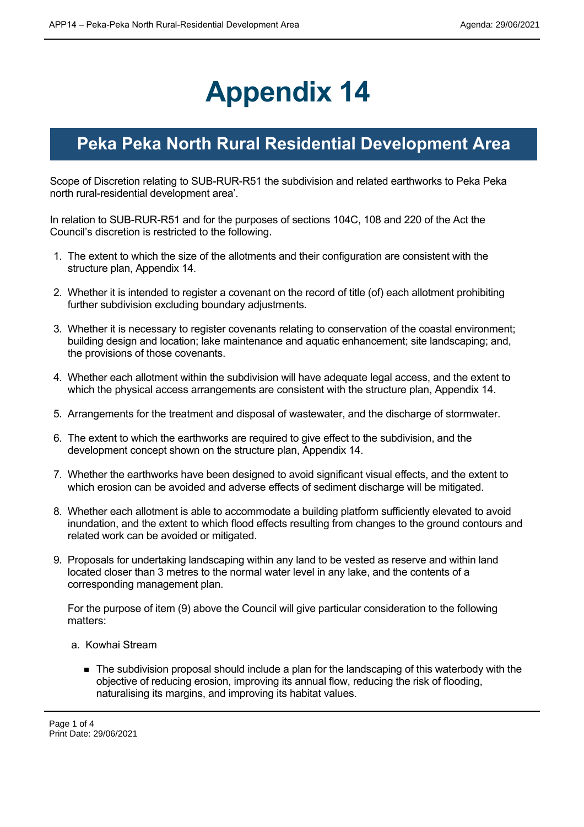## **Appendix 14**

## **Peka Peka North Rural Residential Development Area**

Scope of Discretion relating to SUB-RUR-R51 the subdivision and related earthworks to Peka Peka north rural-residential development area'.

In relation to SUB-RUR-R51 and for the purposes of sections 104C, 108 and 220 of the Act the Council's discretion is restricted to the following.

- 1. The extent to which the size of the allotments and their configuration are consistent with the structure plan, Appendix 14.
- 2. Whether it is intended to register a covenant on the record of title (of) each allotment prohibiting further subdivision excluding boundary adjustments.
- 3. Whether it is necessary to register covenants relating to conservation of the coastal environment; building design and location; lake maintenance and aquatic enhancement; site landscaping; and, the provisions of those covenants.
- 4. Whether each allotment within the subdivision will have adequate legal access, and the extent to which the physical access arrangements are consistent with the structure plan, Appendix 14.
- 5. Arrangements for the treatment and disposal of wastewater, and the discharge of stormwater.
- 6. The extent to which the earthworks are required to give effect to the subdivision, and the development concept shown on the structure plan, Appendix 14.
- 7. Whether the earthworks have been designed to avoid significant visual effects, and the extent to which erosion can be avoided and adverse effects of sediment discharge will be mitigated.
- 8. Whether each allotment is able to accommodate a building platform sufficiently elevated to avoid inundation, and the extent to which flood effects resulting from changes to the ground contours and related work can be avoided or mitigated.
- 9. Proposals for undertaking landscaping within any land to be vested as reserve and within land located closer than 3 metres to the normal water level in any lake, and the contents of a corresponding management plan.

For the purpose of item (9) above the Council will give particular consideration to the following matters:

- a. Kowhai Stream
	- The subdivision proposal should include a plan for the landscaping of this waterbody with the objective of reducing erosion, improving its annual flow, reducing the risk of flooding, naturalising its margins, and improving its habitat values.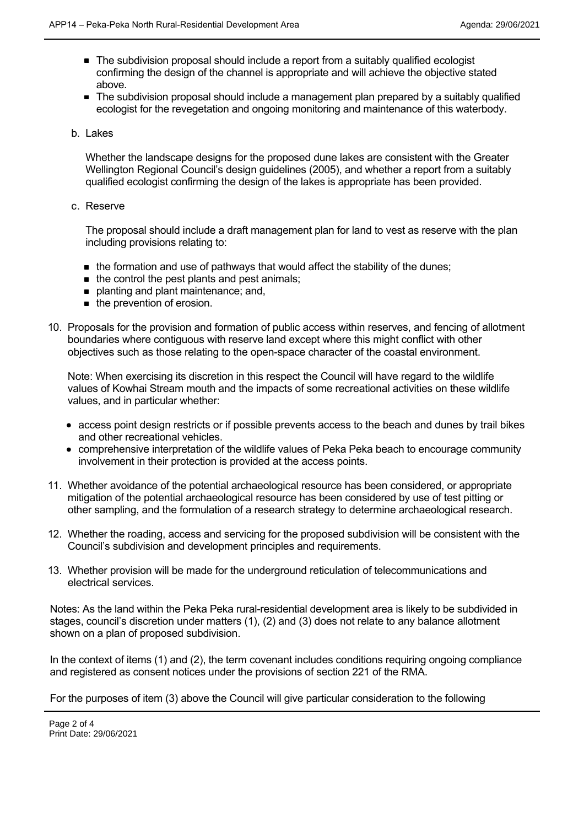- The subdivision proposal should include a report from a suitably qualified ecologist confirming the design of the channel is appropriate and will achieve the objective stated above.
- The subdivision proposal should include a management plan prepared by a suitably qualified ecologist for the revegetation and ongoing monitoring and maintenance of this waterbody.
- b. Lakes

Whether the landscape designs for the proposed dune lakes are consistent with the Greater Wellington Regional Council's design guidelines (2005), and whether a report from a suitably qualified ecologist confirming the design of the lakes is appropriate has been provided.

c. Reserve

The proposal should include a draft management plan for land to vest as reserve with the plan including provisions relating to:

- the formation and use of pathways that would affect the stability of the dunes:
- $\blacksquare$  the control the pest plants and pest animals;
- **p** planting and plant maintenance; and,
- **n** the prevention of erosion.
- 10. Proposals for the provision and formation of public access within reserves, and fencing of allotment boundaries where contiguous with reserve land except where this might conflict with other objectives such as those relating to the open-space character of the coastal environment.

Note: When exercising its discretion in this respect the Council will have regard to the wildlife values of Kowhai Stream mouth and the impacts of some recreational activities on these wildlife values, and in particular whether:

- access point design restricts or if possible prevents access to the beach and dunes by trail bikes and other recreational vehicles.
- comprehensive interpretation of the wildlife values of Peka Peka beach to encourage community involvement in their protection is provided at the access points.
- 11. Whether avoidance of the potential archaeological resource has been considered, or appropriate mitigation of the potential archaeological resource has been considered by use of test pitting or other sampling, and the formulation of a research strategy to determine archaeological research.
- 12. Whether the roading, access and servicing for the proposed subdivision will be consistent with the Council's subdivision and development principles and requirements.
- 13. Whether provision will be made for the underground reticulation of telecommunications and electrical services.

Notes: As the land within the Peka Peka rural-residential development area is likely to be subdivided in stages, council's discretion under matters (1), (2) and (3) does not relate to any balance allotment shown on a plan of proposed subdivision.

In the context of items (1) and (2), the term covenant includes conditions requiring ongoing compliance and registered as consent notices under the provisions of section 221 of the RMA.

For the purposes of item (3) above the Council will give particular consideration to the following

matters: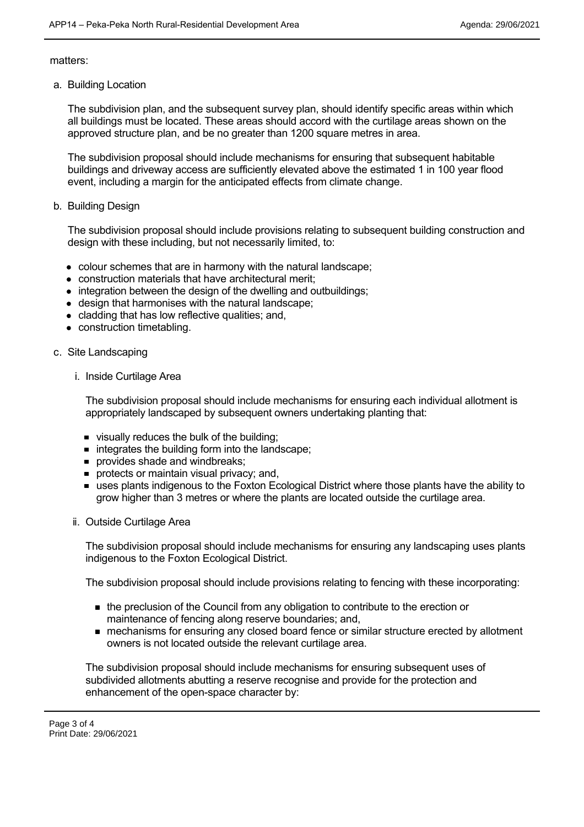matters:

a. Building Location

The subdivision plan, and the subsequent survey plan, should identify specific areas within which all buildings must be located. These areas should accord with the curtilage areas shown on the approved structure plan, and be no greater than 1200 square metres in area.

The subdivision proposal should include mechanisms for ensuring that subsequent habitable buildings and driveway access are sufficiently elevated above the estimated 1 in 100 year flood event, including a margin for the anticipated effects from climate change.

b. Building Design

The subdivision proposal should include provisions relating to subsequent building construction and design with these including, but not necessarily limited, to:

- colour schemes that are in harmony with the natural landscape;
- construction materials that have architectural merit;
- integration between the design of the dwelling and outbuildings;
- design that harmonises with the natural landscape;
- cladding that has low reflective qualities; and,
- construction timetabling.
- c. Site Landscaping
	- i. Inside Curtilage Area

The subdivision proposal should include mechanisms for ensuring each individual allotment is appropriately landscaped by subsequent owners undertaking planting that:

- visually reduces the bulk of the building;
- $\blacksquare$  integrates the building form into the landscape:
- **provides shade and windbreaks;**
- **protects or maintain visual privacy; and,**
- uses plants indigenous to the Foxton Ecological District where those plants have the ability to grow higher than 3 metres or where the plants are located outside the curtilage area.
- ii. Outside Curtilage Area

The subdivision proposal should include mechanisms for ensuring any landscaping uses plants indigenous to the Foxton Ecological District.

The subdivision proposal should include provisions relating to fencing with these incorporating:

- the preclusion of the Council from any obligation to contribute to the erection or maintenance of fencing along reserve boundaries; and,
- **n** mechanisms for ensuring any closed board fence or similar structure erected by allotment owners is not located outside the relevant curtilage area.

The subdivision proposal should include mechanisms for ensuring subsequent uses of subdivided allotments abutting a reserve recognise and provide for the protection and enhancement of the open-space character by: